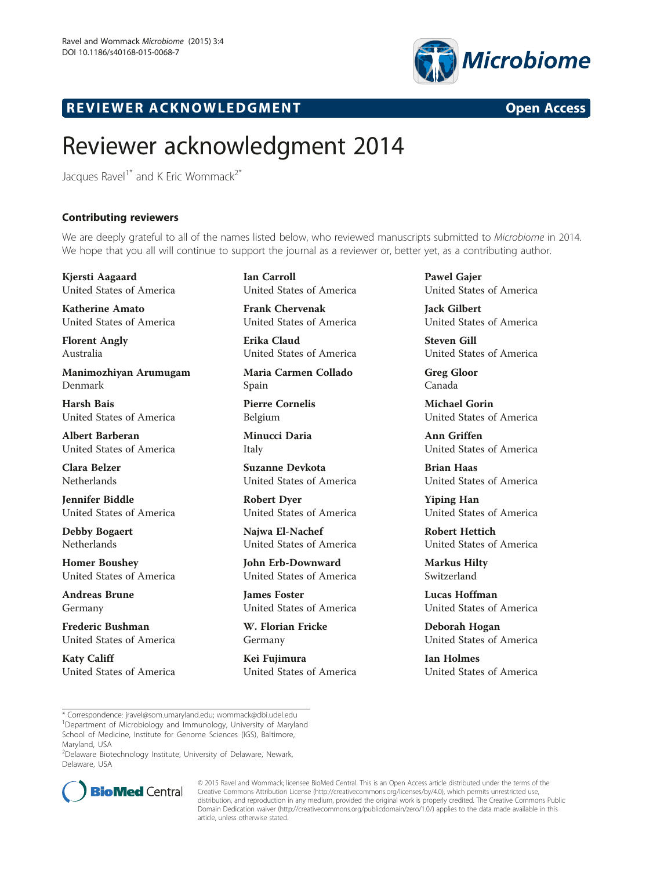

## R EVI EW E R ACKNOW L EDGM EN T Open Access

## Reviewer acknowledgment 2014

Jacques Ravel<sup>1\*</sup> and K Eric Wommack<sup>2\*</sup>

## Contributing reviewers

We are deeply grateful to all of the names listed below, who reviewed manuscripts submitted to Microbiome in 2014. We hope that you all will continue to support the journal as a reviewer or, better yet, as a contributing author.

Kjersti Aagaard United States of America

Katherine Amato United States of America

Florent Angly Australia

Manimozhiyan Arumugam Denmark

Harsh Bais United States of America

Albert Barberan United States of America

Clara Belzer Netherlands

Jennifer Biddle United States of America

Debby Bogaert Netherlands

Homer Boushey United States of America

Andreas Brune Germany

Frederic Bushman United States of America

Katy Califf United States of America Ian Carroll United States of America

Frank Chervenak United States of America

Erika Claud United States of America

Maria Carmen Collado Spain

Pierre Cornelis Belgium

Minucci Daria Italy

Suzanne Devkota United States of America

Robert Dyer United States of America

Najwa El-Nachef United States of America

John Erb-Downward United States of America

James Foster United States of America

W. Florian Fricke Germany

Kei Fujimura United States of America Pawel Gajer United States of America

Jack Gilbert United States of America

Steven Gill United States of America

Greg Gloor Canada

Michael Gorin United States of America

Ann Griffen United States of America

Brian Haas United States of America

Yiping Han United States of America

Robert Hettich United States of America

Markus Hilty Switzerland

Lucas Hoffman United States of America

Deborah Hogan United States of America

Ian Holmes United States of America

2 Delaware Biotechnology Institute, University of Delaware, Newark, Delaware, USA



© 2015 Ravel and Wommack; licensee BioMed Central. This is an Open Access article distributed under the terms of the Creative Commons Attribution License (<http://creativecommons.org/licenses/by/4.0>), which permits unrestricted use, distribution, and reproduction in any medium, provided the original work is properly credited. The Creative Commons Public Domain Dedication waiver [\(http://creativecommons.org/publicdomain/zero/1.0/\)](http://creativecommons.org/publicdomain/zero/1.0/) applies to the data made available in this article, unless otherwise stated.

<sup>\*</sup> Correspondence: [jravel@som.umaryland.edu](mailto:jravel@som.umaryland.edu); [wommack@dbi.udel.edu](mailto:wommack@dbi.udel.edu) <sup>1</sup> <sup>1</sup>Department of Microbiology and Immunology, University of Maryland School of Medicine, Institute for Genome Sciences (IGS), Baltimore, Maryland, USA